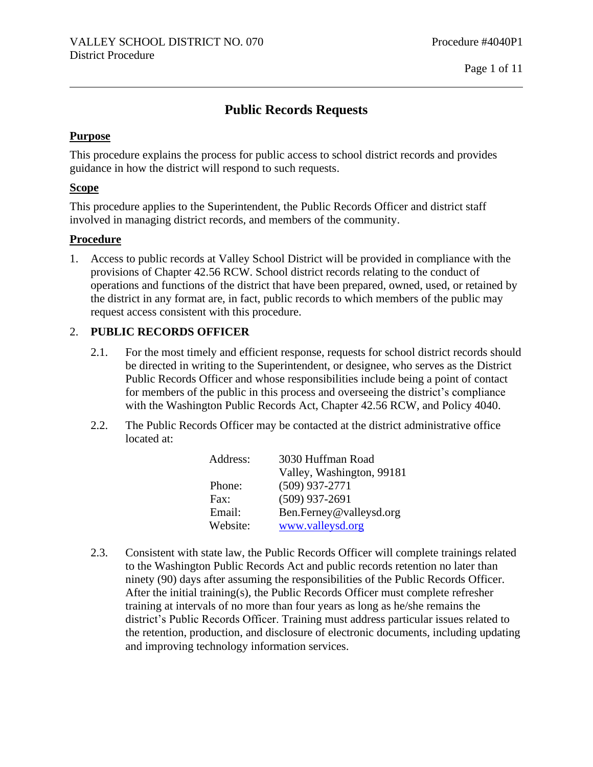# **Public Records Requests**

#### **Purpose**

This procedure explains the process for public access to school district records and provides guidance in how the district will respond to such requests.

#### **Scope**

This procedure applies to the Superintendent, the Public Records Officer and district staff involved in managing district records, and members of the community.

#### **Procedure**

1. Access to public records at Valley School District will be provided in compliance with the provisions of Chapter 42.56 RCW. School district records relating to the conduct of operations and functions of the district that have been prepared, owned, used, or retained by the district in any format are, in fact, public records to which members of the public may request access consistent with this procedure.

#### 2. **PUBLIC RECORDS OFFICER**

- 2.1. For the most timely and efficient response, requests for school district records should be directed in writing to the Superintendent, or designee, who serves as the District Public Records Officer and whose responsibilities include being a point of contact for members of the public in this process and overseeing the district's compliance with the Washington Public Records Act, Chapter 42.56 RCW, and Policy 4040.
- 2.2. The Public Records Officer may be contacted at the district administrative office located at:

| Address: | 3030 Huffman Road         |
|----------|---------------------------|
|          | Valley, Washington, 99181 |
| Phone:   | $(509)$ 937-2771          |
| Fax:     | $(509)$ 937-2691          |
| Email:   | Ben.Ferney@valleysd.org   |
| Website: | www.valleysd.org          |

2.3. Consistent with state law, the Public Records Officer will complete trainings related to the Washington Public Records Act and public records retention no later than ninety (90) days after assuming the responsibilities of the Public Records Officer. After the initial training(s), the Public Records Officer must complete refresher training at intervals of no more than four years as long as he/she remains the district's Public Records Officer. Training must address particular issues related to the retention, production, and disclosure of electronic documents, including updating and improving technology information services.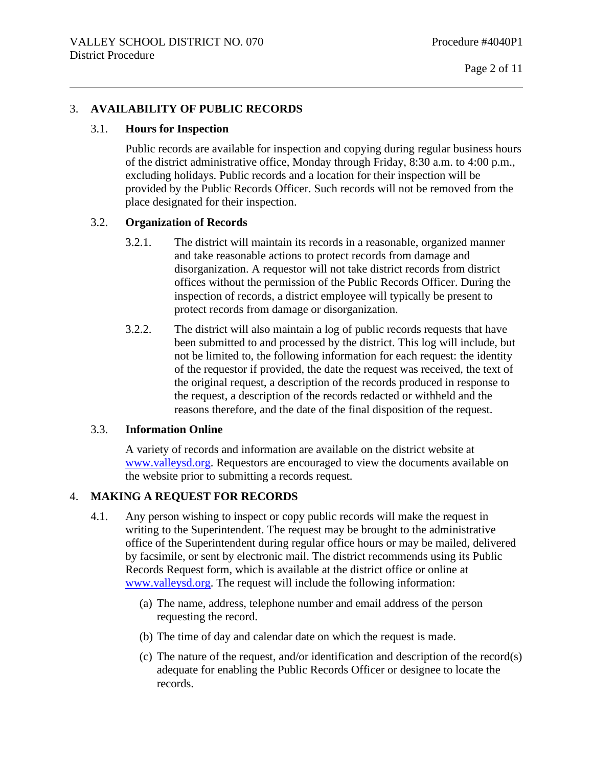## 3. **AVAILABILITY OF PUBLIC RECORDS**

## 3.1. **Hours for Inspection**

Public records are available for inspection and copying during regular business hours of the district administrative office, Monday through Friday, 8:30 a.m. to 4:00 p.m., excluding holidays. Public records and a location for their inspection will be provided by the Public Records Officer. Such records will not be removed from the place designated for their inspection.

#### 3.2. **Organization of Records**

- 3.2.1. The district will maintain its records in a reasonable, organized manner and take reasonable actions to protect records from damage and disorganization. A requestor will not take district records from district offices without the permission of the Public Records Officer. During the inspection of records, a district employee will typically be present to protect records from damage or disorganization.
- 3.2.2. The district will also maintain a log of public records requests that have been submitted to and processed by the district. This log will include, but not be limited to, the following information for each request: the identity of the requestor if provided, the date the request was received, the text of the original request, a description of the records produced in response to the request, a description of the records redacted or withheld and the reasons therefore, and the date of the final disposition of the request.

#### 3.3. **Information Online**

A variety of records and information are available on the district website at [www.valleysd.org.](file://///valley/Staff/dmonasmith/My%20Documents/SharePoint%20Drafts/Dist%20Ops%20P+P/www.valleysd.org) Requestors are encouraged to view the documents available on the website prior to submitting a records request.

## 4. **MAKING A REQUEST FOR RECORDS**

- 4.1. Any person wishing to inspect or copy public records will make the request in writing to the Superintendent. The request may be brought to the administrative office of the Superintendent during regular office hours or may be mailed, delivered by facsimile, or sent by electronic mail. The district recommends using its Public Records Request form, which is available at the district office or online at [www.valleysd.org.](http://www.valleysd.org/) The request will include the following information:
	- (a) The name, address, telephone number and email address of the person requesting the record.
	- (b) The time of day and calendar date on which the request is made.
	- (c) The nature of the request, and/or identification and description of the record(s) adequate for enabling the Public Records Officer or designee to locate the records.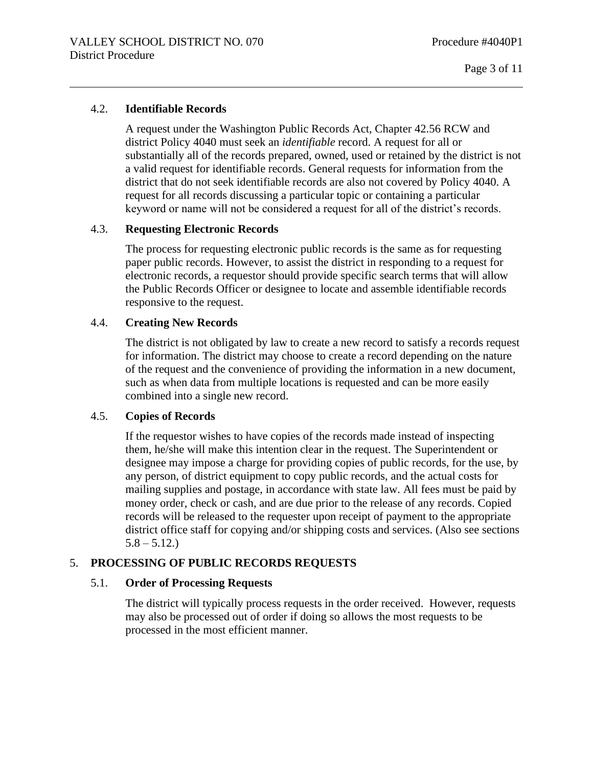## 4.2. **Identifiable Records**

A request under the Washington Public Records Act, Chapter 42.56 RCW and district Policy 4040 must seek an *identifiable* record. A request for all or substantially all of the records prepared, owned, used or retained by the district is not a valid request for identifiable records. General requests for information from the district that do not seek identifiable records are also not covered by Policy 4040. A request for all records discussing a particular topic or containing a particular keyword or name will not be considered a request for all of the district's records.

#### 4.3. **Requesting Electronic Records**

The process for requesting electronic public records is the same as for requesting paper public records. However, to assist the district in responding to a request for electronic records, a requestor should provide specific search terms that will allow the Public Records Officer or designee to locate and assemble identifiable records responsive to the request.

#### 4.4. **Creating New Records**

The district is not obligated by law to create a new record to satisfy a records request for information. The district may choose to create a record depending on the nature of the request and the convenience of providing the information in a new document, such as when data from multiple locations is requested and can be more easily combined into a single new record.

#### 4.5. **Copies of Records**

If the requestor wishes to have copies of the records made instead of inspecting them, he/she will make this intention clear in the request. The Superintendent or designee may impose a charge for providing copies of public records, for the use, by any person, of district equipment to copy public records, and the actual costs for mailing supplies and postage, in accordance with state law. All fees must be paid by money order, check or cash, and are due prior to the release of any records. Copied records will be released to the requester upon receipt of payment to the appropriate district office staff for copying and/or shipping costs and services. (Also see sections  $5.8 - 5.12.$ 

#### 5. **PROCESSING OF PUBLIC RECORDS REQUESTS**

#### 5.1. **Order of Processing Requests**

The district will typically process requests in the order received. However, requests may also be processed out of order if doing so allows the most requests to be processed in the most efficient manner.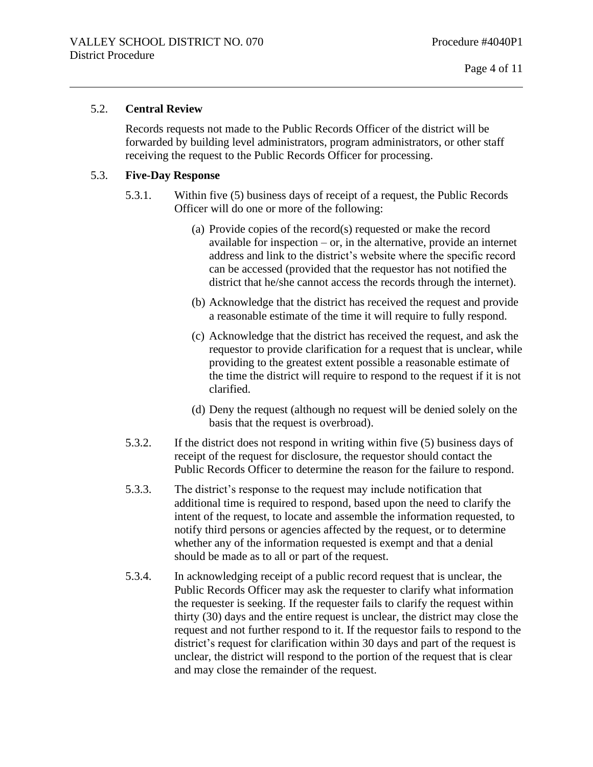#### 5.2. **Central Review**

Records requests not made to the Public Records Officer of the district will be forwarded by building level administrators, program administrators, or other staff receiving the request to the Public Records Officer for processing.

## 5.3. **Five-Day Response**

- 5.3.1. Within five (5) business days of receipt of a request, the Public Records Officer will do one or more of the following:
	- (a) Provide copies of the record(s) requested or make the record available for inspection  $-$  or, in the alternative, provide an internet address and link to the district's website where the specific record can be accessed (provided that the requestor has not notified the district that he/she cannot access the records through the internet).
	- (b) Acknowledge that the district has received the request and provide a reasonable estimate of the time it will require to fully respond.
	- (c) Acknowledge that the district has received the request, and ask the requestor to provide clarification for a request that is unclear, while providing to the greatest extent possible a reasonable estimate of the time the district will require to respond to the request if it is not clarified.
	- (d) Deny the request (although no request will be denied solely on the basis that the request is overbroad).
- 5.3.2. If the district does not respond in writing within five (5) business days of receipt of the request for disclosure, the requestor should contact the Public Records Officer to determine the reason for the failure to respond.
- 5.3.3. The district's response to the request may include notification that additional time is required to respond, based upon the need to clarify the intent of the request, to locate and assemble the information requested, to notify third persons or agencies affected by the request, or to determine whether any of the information requested is exempt and that a denial should be made as to all or part of the request.
- 5.3.4. In acknowledging receipt of a public record request that is unclear, the Public Records Officer may ask the requester to clarify what information the requester is seeking. If the requester fails to clarify the request within thirty (30) days and the entire request is unclear, the district may close the request and not further respond to it. If the requestor fails to respond to the district's request for clarification within 30 days and part of the request is unclear, the district will respond to the portion of the request that is clear and may close the remainder of the request.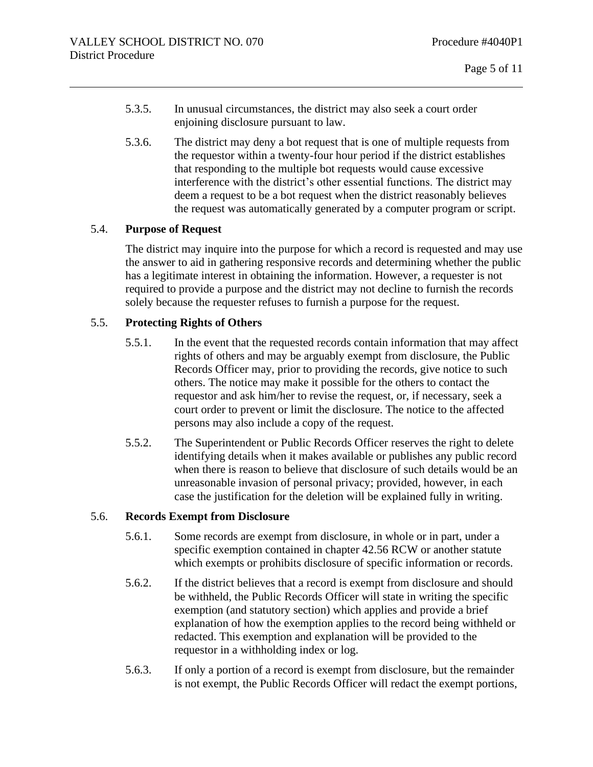- 5.3.5. In unusual circumstances, the district may also seek a court order enjoining disclosure pursuant to law.
- 5.3.6. The district may deny a bot request that is one of multiple requests from the requestor within a twenty-four hour period if the district establishes that responding to the multiple bot requests would cause excessive interference with the district's other essential functions. The district may deem a request to be a bot request when the district reasonably believes the request was automatically generated by a computer program or script.

## 5.4. **Purpose of Request**

The district may inquire into the purpose for which a record is requested and may use the answer to aid in gathering responsive records and determining whether the public has a legitimate interest in obtaining the information. However, a requester is not required to provide a purpose and the district may not decline to furnish the records solely because the requester refuses to furnish a purpose for the request.

## 5.5. **Protecting Rights of Others**

- 5.5.1. In the event that the requested records contain information that may affect rights of others and may be arguably exempt from disclosure, the Public Records Officer may, prior to providing the records, give notice to such others. The notice may make it possible for the others to contact the requestor and ask him/her to revise the request, or, if necessary, seek a court order to prevent or limit the disclosure. The notice to the affected persons may also include a copy of the request.
- 5.5.2. The Superintendent or Public Records Officer reserves the right to delete identifying details when it makes available or publishes any public record when there is reason to believe that disclosure of such details would be an unreasonable invasion of personal privacy; provided, however, in each case the justification for the deletion will be explained fully in writing.

#### 5.6. **Records Exempt from Disclosure**

- 5.6.1. Some records are exempt from disclosure, in whole or in part, under a specific exemption contained in chapter 42.56 RCW or another statute which exempts or prohibits disclosure of specific information or records.
- 5.6.2. If the district believes that a record is exempt from disclosure and should be withheld, the Public Records Officer will state in writing the specific exemption (and statutory section) which applies and provide a brief explanation of how the exemption applies to the record being withheld or redacted. This exemption and explanation will be provided to the requestor in a withholding index or log.
- 5.6.3. If only a portion of a record is exempt from disclosure, but the remainder is not exempt, the Public Records Officer will redact the exempt portions,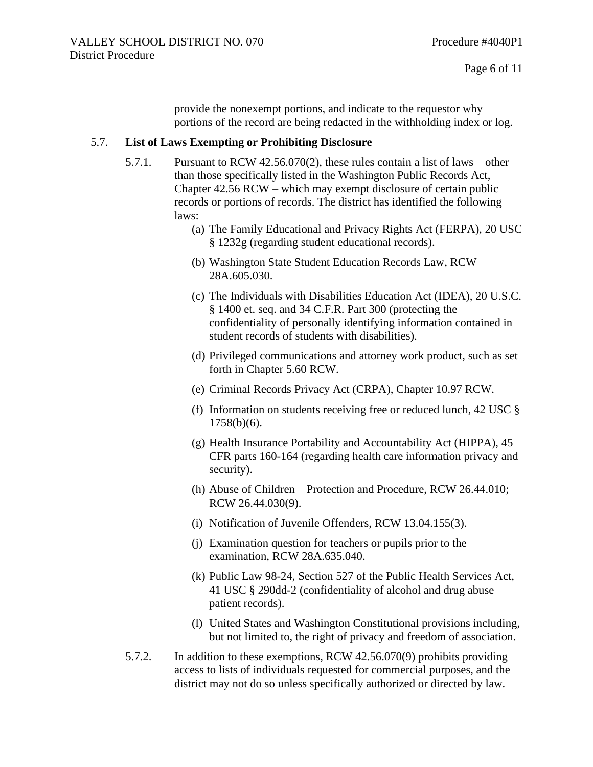provide the nonexempt portions, and indicate to the requestor why portions of the record are being redacted in the withholding index or log.

#### 5.7. **List of Laws Exempting or Prohibiting Disclosure**

- 5.7.1. Pursuant to RCW 42.56.070(2), these rules contain a list of laws other than those specifically listed in the Washington Public Records Act, Chapter 42.56 RCW – which may exempt disclosure of certain public records or portions of records. The district has identified the following laws:
	- (a) The Family Educational and Privacy Rights Act (FERPA), 20 USC § 1232g (regarding student educational records).
	- (b) Washington State Student Education Records Law, RCW 28A.605.030.
	- (c) The Individuals with Disabilities Education Act (IDEA), 20 U.S.C. § 1400 et. seq. and 34 C.F.R. Part 300 (protecting the confidentiality of personally identifying information contained in student records of students with disabilities).
	- (d) Privileged communications and attorney work product, such as set forth in Chapter 5.60 RCW.
	- (e) Criminal Records Privacy Act (CRPA), Chapter 10.97 RCW.
	- (f) Information on students receiving free or reduced lunch, 42 USC § 1758(b)(6).
	- (g) Health Insurance Portability and Accountability Act (HIPPA), 45 CFR parts 160-164 (regarding health care information privacy and security).
	- (h) Abuse of Children Protection and Procedure, RCW 26.44.010; RCW 26.44.030(9).
	- (i) Notification of Juvenile Offenders, RCW 13.04.155(3).
	- (j) Examination question for teachers or pupils prior to the examination, RCW 28A.635.040.
	- (k) Public Law 98-24, Section 527 of the Public Health Services Act, 41 USC § 290dd-2 (confidentiality of alcohol and drug abuse patient records).
	- (l) United States and Washington Constitutional provisions including, but not limited to, the right of privacy and freedom of association.
- 5.7.2. In addition to these exemptions, RCW 42.56.070(9) prohibits providing access to lists of individuals requested for commercial purposes, and the district may not do so unless specifically authorized or directed by law.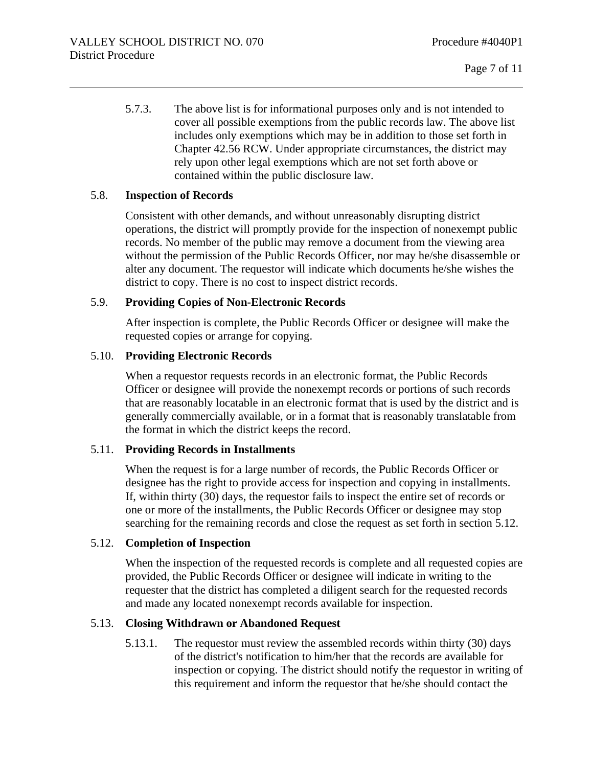5.7.3. The above list is for informational purposes only and is not intended to cover all possible exemptions from the public records law. The above list includes only exemptions which may be in addition to those set forth in Chapter 42.56 RCW. Under appropriate circumstances, the district may rely upon other legal exemptions which are not set forth above or contained within the public disclosure law.

#### 5.8. **Inspection of Records**

Consistent with other demands, and without unreasonably disrupting district operations, the district will promptly provide for the inspection of nonexempt public records. No member of the public may remove a document from the viewing area without the permission of the Public Records Officer, nor may he/she disassemble or alter any document. The requestor will indicate which documents he/she wishes the district to copy. There is no cost to inspect district records.

#### 5.9. **Providing Copies of Non-Electronic Records**

After inspection is complete, the Public Records Officer or designee will make the requested copies or arrange for copying.

## 5.10. **Providing Electronic Records**

When a requestor requests records in an electronic format, the Public Records Officer or designee will provide the nonexempt records or portions of such records that are reasonably locatable in an electronic format that is used by the district and is generally commercially available, or in a format that is reasonably translatable from the format in which the district keeps the record.

#### 5.11. **Providing Records in Installments**

When the request is for a large number of records, the Public Records Officer or designee has the right to provide access for inspection and copying in installments. If, within thirty (30) days, the requestor fails to inspect the entire set of records or one or more of the installments, the Public Records Officer or designee may stop searching for the remaining records and close the request as set forth in section 5.12.

#### 5.12. **Completion of Inspection**

When the inspection of the requested records is complete and all requested copies are provided, the Public Records Officer or designee will indicate in writing to the requester that the district has completed a diligent search for the requested records and made any located nonexempt records available for inspection.

#### 5.13. **Closing Withdrawn or Abandoned Request**

5.13.1. The requestor must review the assembled records within thirty (30) days of the district's notification to him/her that the records are available for inspection or copying. The district should notify the requestor in writing of this requirement and inform the requestor that he/she should contact the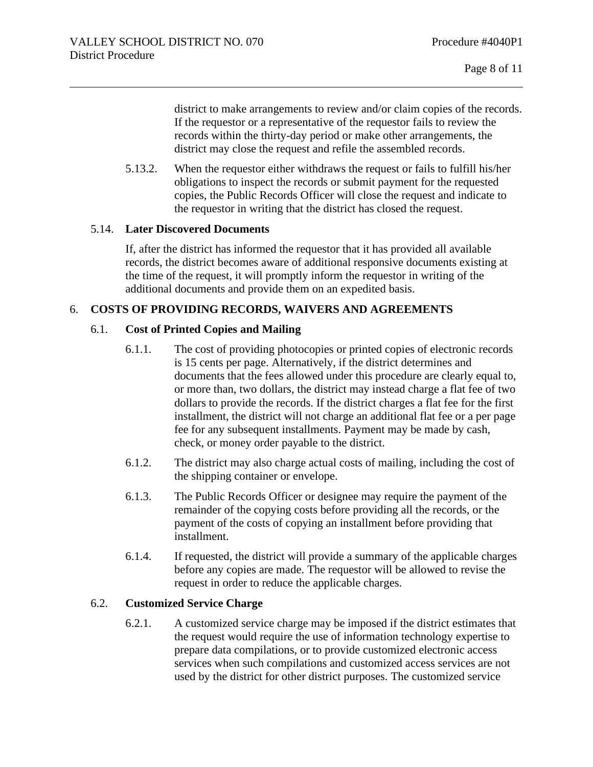district to make arrangements to review and/or claim copies of the records. If the requestor or a representative of the requestor fails to review the records within the thirty-day period or make other arrangements, the district may close the request and refile the assembled records.

5.13.2. When the requestor either withdraws the request or fails to fulfill his/her obligations to inspect the records or submit payment for the requested copies, the Public Records Officer will close the request and indicate to the requestor in writing that the district has closed the request.

#### 5.14. **Later Discovered Documents**

If, after the district has informed the requestor that it has provided all available records, the district becomes aware of additional responsive documents existing at the time of the request, it will promptly inform the requestor in writing of the additional documents and provide them on an expedited basis.

## 6. **COSTS OF PROVIDING RECORDS, WAIVERS AND AGREEMENTS**

## 6.1. **Cost of Printed Copies and Mailing**

- 6.1.1. The cost of providing photocopies or printed copies of electronic records is 15 cents per page. Alternatively, if the district determines and documents that the fees allowed under this procedure are clearly equal to, or more than, two dollars, the district may instead charge a flat fee of two dollars to provide the records. If the district charges a flat fee for the first installment, the district will not charge an additional flat fee or a per page fee for any subsequent installments. Payment may be made by cash, check, or money order payable to the district.
- 6.1.2. The district may also charge actual costs of mailing, including the cost of the shipping container or envelope.
- 6.1.3. The Public Records Officer or designee may require the payment of the remainder of the copying costs before providing all the records, or the payment of the costs of copying an installment before providing that installment.
- 6.1.4. If requested, the district will provide a summary of the applicable charges before any copies are made. The requestor will be allowed to revise the request in order to reduce the applicable charges.

#### 6.2. **Customized Service Charge**

6.2.1. A customized service charge may be imposed if the district estimates that the request would require the use of information technology expertise to prepare data compilations, or to provide customized electronic access services when such compilations and customized access services are not used by the district for other district purposes. The customized service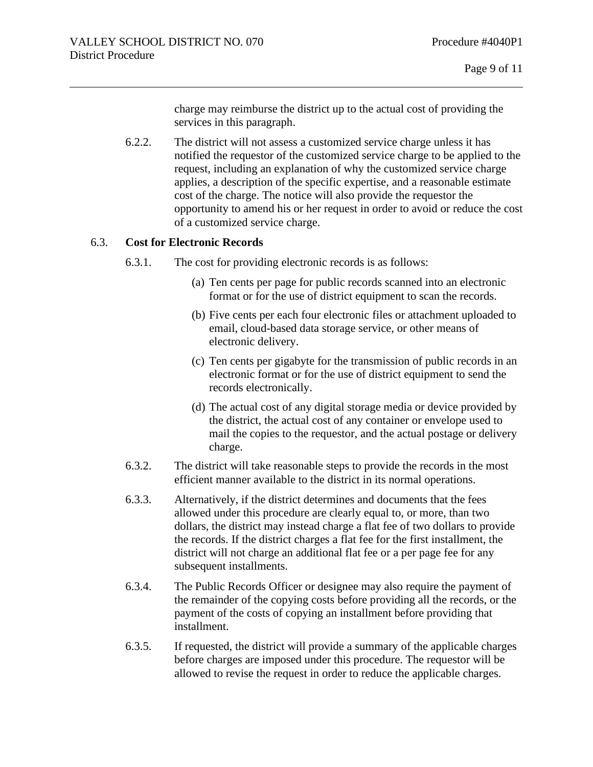charge may reimburse the district up to the actual cost of providing the services in this paragraph.

6.2.2. The district will not assess a customized service charge unless it has notified the requestor of the customized service charge to be applied to the request, including an explanation of why the customized service charge applies, a description of the specific expertise, and a reasonable estimate cost of the charge. The notice will also provide the requestor the opportunity to amend his or her request in order to avoid or reduce the cost of a customized service charge.

## 6.3. **Cost for Electronic Records**

- 6.3.1. The cost for providing electronic records is as follows:
	- (a) Ten cents per page for public records scanned into an electronic format or for the use of district equipment to scan the records.
	- (b) Five cents per each four electronic files or attachment uploaded to email, cloud-based data storage service, or other means of electronic delivery.
	- (c) Ten cents per gigabyte for the transmission of public records in an electronic format or for the use of district equipment to send the records electronically.
	- (d) The actual cost of any digital storage media or device provided by the district, the actual cost of any container or envelope used to mail the copies to the requestor, and the actual postage or delivery charge.
- 6.3.2. The district will take reasonable steps to provide the records in the most efficient manner available to the district in its normal operations.
- 6.3.3. Alternatively, if the district determines and documents that the fees allowed under this procedure are clearly equal to, or more, than two dollars, the district may instead charge a flat fee of two dollars to provide the records. If the district charges a flat fee for the first installment, the district will not charge an additional flat fee or a per page fee for any subsequent installments.
- 6.3.4. The Public Records Officer or designee may also require the payment of the remainder of the copying costs before providing all the records, or the payment of the costs of copying an installment before providing that installment.
- 6.3.5. If requested, the district will provide a summary of the applicable charges before charges are imposed under this procedure. The requestor will be allowed to revise the request in order to reduce the applicable charges.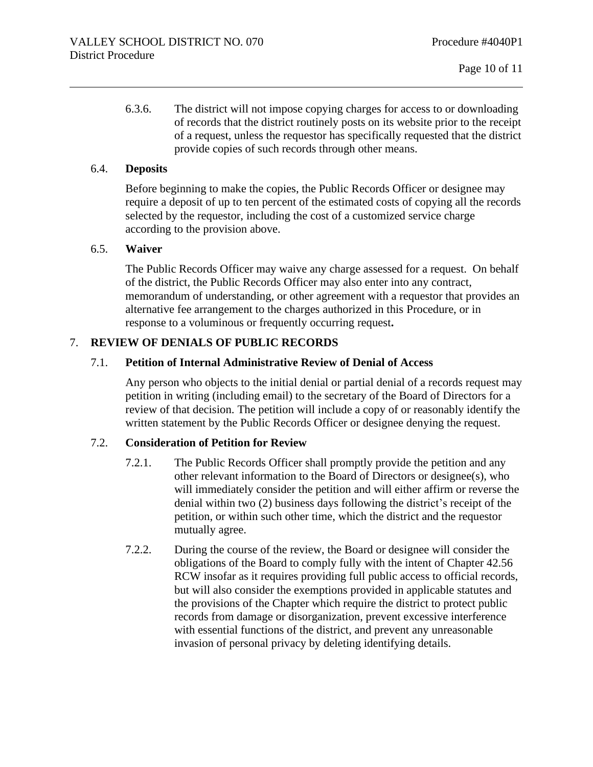6.3.6. The district will not impose copying charges for access to or downloading of records that the district routinely posts on its website prior to the receipt of a request, unless the requestor has specifically requested that the district provide copies of such records through other means.

## 6.4. **Deposits**

Before beginning to make the copies, the Public Records Officer or designee may require a deposit of up to ten percent of the estimated costs of copying all the records selected by the requestor, including the cost of a customized service charge according to the provision above.

#### 6.5. **Waiver**

The Public Records Officer may waive any charge assessed for a request. On behalf of the district, the Public Records Officer may also enter into any contract, memorandum of understanding, or other agreement with a requestor that provides an alternative fee arrangement to the charges authorized in this Procedure, or in response to a voluminous or frequently occurring request**.**

# 7. **REVIEW OF DENIALS OF PUBLIC RECORDS**

## 7.1. **Petition of Internal Administrative Review of Denial of Access**

Any person who objects to the initial denial or partial denial of a records request may petition in writing (including email) to the secretary of the Board of Directors for a review of that decision. The petition will include a copy of or reasonably identify the written statement by the Public Records Officer or designee denying the request.

## 7.2. **Consideration of Petition for Review**

- 7.2.1. The Public Records Officer shall promptly provide the petition and any other relevant information to the Board of Directors or designee(s), who will immediately consider the petition and will either affirm or reverse the denial within two (2) business days following the district's receipt of the petition, or within such other time, which the district and the requestor mutually agree.
- 7.2.2. During the course of the review, the Board or designee will consider the obligations of the Board to comply fully with the intent of Chapter 42.56 RCW insofar as it requires providing full public access to official records, but will also consider the exemptions provided in applicable statutes and the provisions of the Chapter which require the district to protect public records from damage or disorganization, prevent excessive interference with essential functions of the district, and prevent any unreasonable invasion of personal privacy by deleting identifying details.